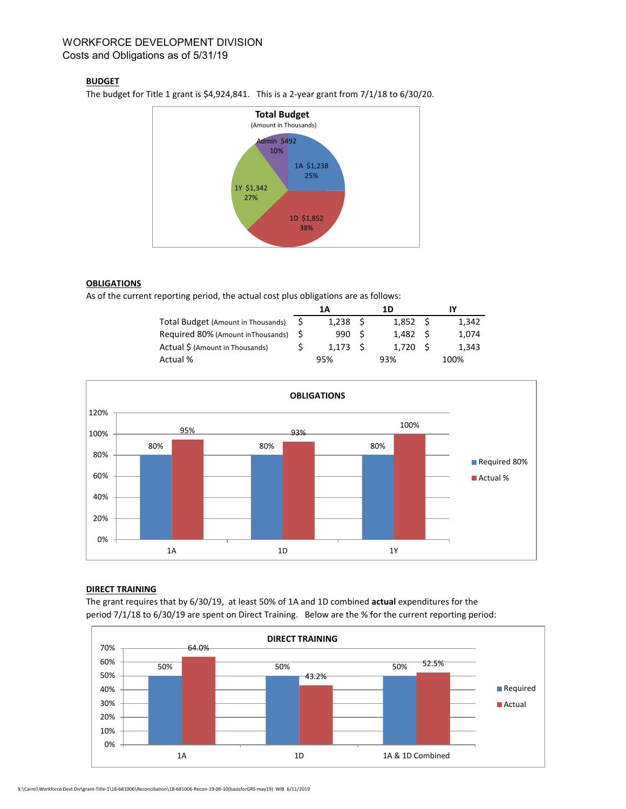# WORKFORCE DEVELOPMENT DIVISION Costs and Obligations as of 5/31/19

## **BUDGET**

The budget for Title 1 grant is \$4,924,841. This is a 2-year grant from 7/1/18 to 6/30/20.



## **OBLIGATIONS**

As of the current reporting period, the actual cost plus obligations are as follows:

|                                       | 1Α |                 | 1D  |                 | IY  |       |
|---------------------------------------|----|-----------------|-----|-----------------|-----|-------|
| Total Budget (Amount in Thousands)    |    | $1.238 \quad S$ |     | $1.852 \quad S$ |     | 1.342 |
| Required 80% (Amount in Thousands) \$ |    | 990 S           |     | 1.482           | - S | 1.074 |
| Actual \$ (Amount in Thousands)       |    | 1.173           | - S | 1.720           |     | 1.343 |
| Actual %                              |    | 95%             |     | 93%             |     | 100%  |



### **DIRECT TRAINING**

The grant requires that by 6/30/19, at least 50% of 1A and 1D combined **actual** expenditures for the period 7/1/18 to 6/30/19 are spent on Direct Training. Below are the % for the current reporting period: